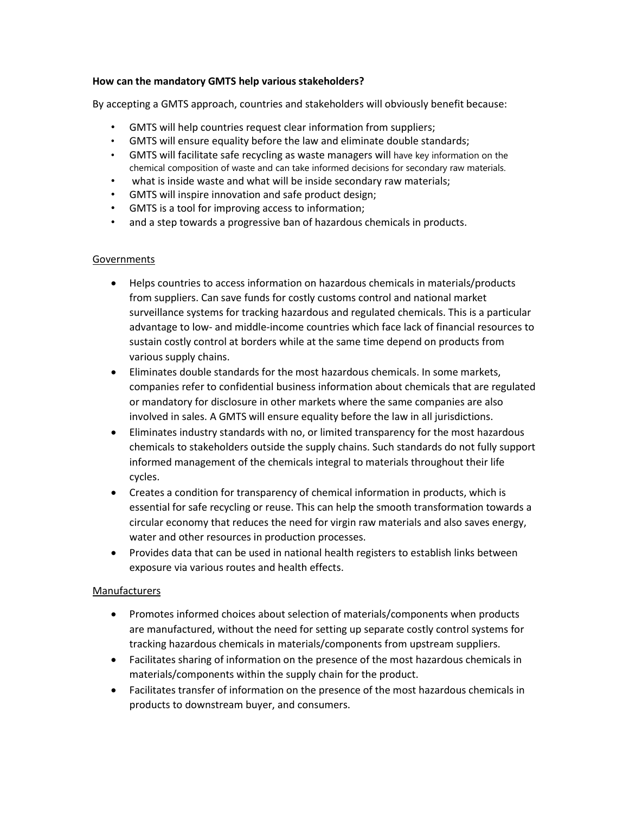## **How can the mandatory GMTS help various stakeholders?**

By accepting a GMTS approach, countries and stakeholders will obviously benefit because:

- GMTS will help countries request clear information from suppliers;
- GMTS will ensure equality before the law and eliminate double standards;
- GMTS will facilitate safe recycling as waste managers will have key information on the chemical composition of waste and can take informed decisions for secondary raw materials.
- what is inside waste and what will be inside secondary raw materials;
- GMTS will inspire innovation and safe product design;
- GMTS is a tool for improving access to information;
- and a step towards a progressive ban of hazardous chemicals in products.

## Governments

- Helps countries to access information on hazardous chemicals in materials/products from suppliers. Can save funds for costly customs control and national market surveillance systems for tracking hazardous and regulated chemicals. This is a particular advantage to low- and middle-income countries which face lack of financial resources to sustain costly control at borders while at the same time depend on products from various supply chains.
- Eliminates double standards for the most hazardous chemicals. In some markets, companies refer to confidential business information about chemicals that are regulated or mandatory for disclosure in other markets where the same companies are also involved in sales. A GMTS will ensure equality before the law in all jurisdictions.
- Eliminates industry standards with no, or limited transparency for the most hazardous chemicals to stakeholders outside the supply chains. Such standards do not fully support informed management of the chemicals integral to materials throughout their life cycles.
- Creates a condition for transparency of chemical information in products, which is essential for safe recycling or reuse. This can help the smooth transformation towards a circular economy that reduces the need for virgin raw materials and also saves energy, water and other resources in production processes.
- Provides data that can be used in national health registers to establish links between exposure via various routes and health effects.

## Manufacturers

- Promotes informed choices about selection of materials/components when products are manufactured, without the need for setting up separate costly control systems for tracking hazardous chemicals in materials/components from upstream suppliers.
- Facilitates sharing of information on the presence of the most hazardous chemicals in materials/components within the supply chain for the product.
- Facilitates transfer of information on the presence of the most hazardous chemicals in products to downstream buyer, and consumers.